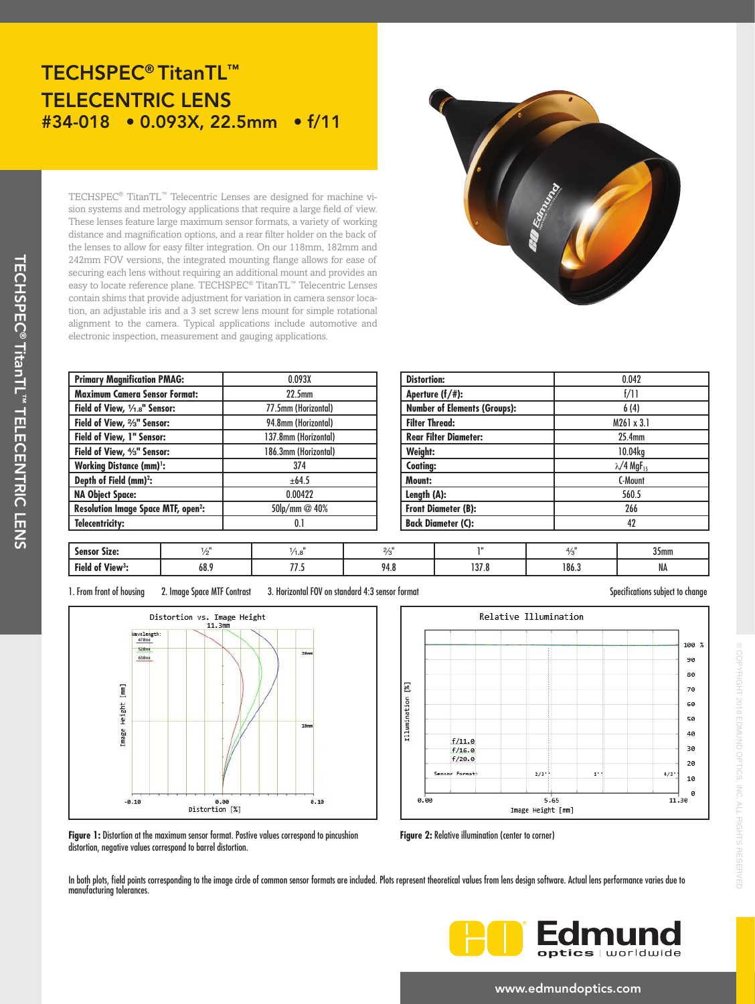## TECHSPEC® TitanTL™ TELECENTRIC LENS #34-018 • 0.093X, 22.5mm • f/11

TECHSPEC® TitanTL™ Telecentric Lenses are designed for machine vision systems and metrology applications that require a large field of view. These lenses feature large maximum sensor formats, a variety of working distance and magnification options, and a rear filter holder on the back of the lenses to allow for easy filter integration. On our 118mm, 182mm and 242mm FOV versions, the integrated mounting flange allows for ease of securing each lens without requiring an additional mount and provides an easy to locate reference plane. TECHSPEC® TitanTL™ Telecentric Lenses contain shims that provide adjustment for variation in camera sensor location, an adjustable iris and a 3 set screw lens mount for simple rotational alignment to the camera. Typical applications include automotive and electronic inspection, measurement and gauging applications.

| <b>Primary Magnification PMAG:</b>                   | 0.093X               |  |  |
|------------------------------------------------------|----------------------|--|--|
| <b>Maximum Camera Sensor Format:</b>                 | 22.5 <sub>mm</sub>   |  |  |
| Field of View, 1/1.8" Sensor:                        | 77.5mm (Horizontal)  |  |  |
| Field of View, %" Sensor:                            | 94.8mm (Horizontal)  |  |  |
| Field of View, 1" Sensor:                            | 137.8mm (Horizontal) |  |  |
| Field of View, <sup>4/3"</sup> Sensor:               | 186.3mm (Horizontal) |  |  |
| <b>Working Distance (mm)</b> <sup>1</sup> :          | 374                  |  |  |
| Depth of Field (mm) <sup>2</sup> :                   | ±64.5                |  |  |
| <b>NA Object Space:</b>                              | 0.00422              |  |  |
| <b>Resolution Image Space MTF, open<sup>2</sup>:</b> | 50lp/mm @ 40%        |  |  |
| Telecentricity:                                      | 0.1                  |  |  |

| ſ |                  | ۵ |  |
|---|------------------|---|--|
|   |                  |   |  |
| s | <b>ED Edmond</b> |   |  |
|   |                  |   |  |

| <b>Distortion:</b>                  | 0.042                                     |  |  |  |
|-------------------------------------|-------------------------------------------|--|--|--|
| Aperture $(f/\#)$ :                 | f/11<br>6(4)                              |  |  |  |
| <b>Number of Elements (Groups):</b> |                                           |  |  |  |
| <b>Filter Thread:</b>               | $M261 \times 3.1$                         |  |  |  |
| <b>Rear Filter Diameter:</b>        | 25.4mm                                    |  |  |  |
| Weight:                             | 10.04kg                                   |  |  |  |
| <b>Coating:</b>                     | $\lambda$ /4 MgF <sub>15</sub><br>C-Mount |  |  |  |
| Mount:                              |                                           |  |  |  |
| Length (A):                         | 560.5                                     |  |  |  |
| <b>Front Diameter (B):</b>          | 266                                       |  |  |  |
| <b>Back Diameter (C):</b>           | 42                                        |  |  |  |

| <b>Sensor Size:</b>                  |      | ه. ۱          |      |                 |       | 35 <sub>mm</sub> |
|--------------------------------------|------|---------------|------|-----------------|-------|------------------|
| Field<br>5.54<br>View <sup>3</sup> : | 68.5 | $- -$<br>,,,, | 94.8 | 1970<br>0. /د ا | 186.3 | <b>IVA</b>       |

1. From front of housing 2. Image Space MTF Contrast 3. Horizontal FOV on standard 4:3 sensor format Specifications subject to change





® COPYRIGHT 2016 EDMUND OPTICS, INC. ALL RIGHTS RESERVED

COPYRIGHT 2016 EDMUND OPTICS, INC. ALL RIGHTS RESERVED

**Figure 1:** Distortion at the maximum sensor format. Postive values correspond to pincushion distortion, negative values correspond to barrel distortion.

**Figure 2: Relative illumination (center to corner)** 

In both plots, field points corresponding to the image circle of common sensor formats are included. Plots represent theoretical values from lens design software. Actual lens performance varies due to manufacturing tolerances.



#### www.edmundoptics.com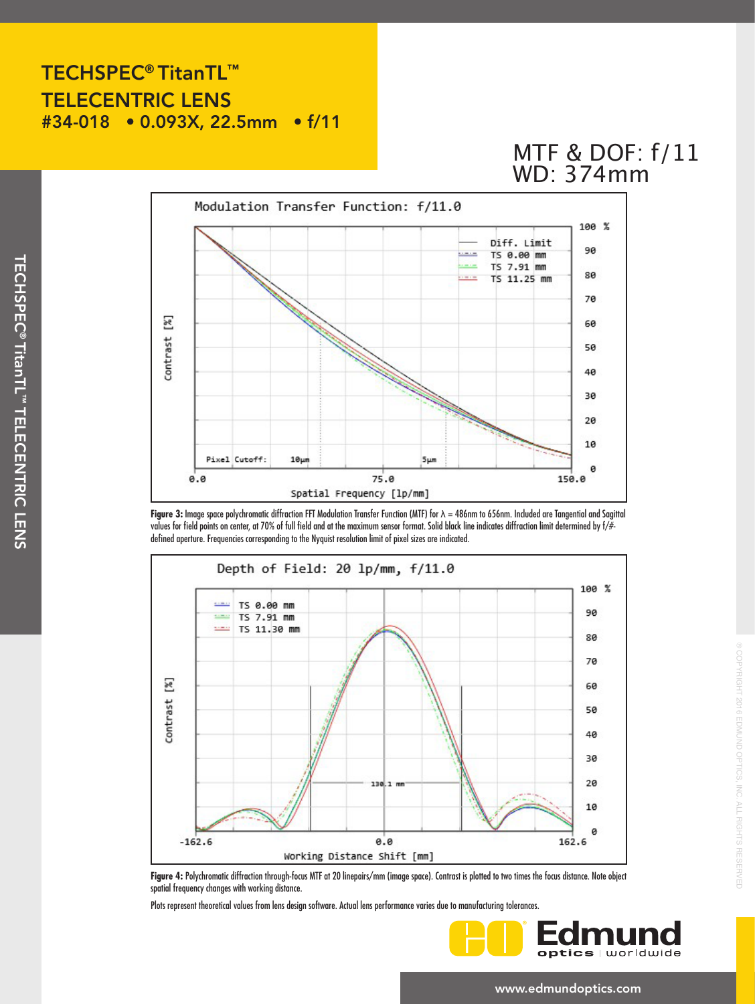#### TECHSPEC® TitanTL™ TELECENTRIC LENS #34-018 • 0.093X, 22.5mm • f/11

# MTF & DOF: f/11 WD: 374mm



**Figure 3:** Image space polychromatic diffraction FFT Modulation Transfer Function (MTF) for λ = 486nm to 656nm. Included are Tangential and Sagittal values for field points on center, at 70% of full field and at the maximum sensor format. Solid black line indicates diffraction limit determined by f/# defined aperture. Frequencies corresponding to the Nyquist resolution limit of pixel sizes are indicated.



**Figure 4:** Polychromatic diffraction through-focus MTF at 20 linepairs/mm (image space). Contrast is plotted to two times the focus distance. Note object spatial frequency changes with working distance.

Plots represent theoretical values from lens design software. Actual lens performance varies due to manufacturing tolerances.



® COPYRIGHT 2016 EDMUND OPTICS, INC. ALL RIGHTS RESERVED

COPYRIGHT 2016 EDMUND OPTICS, INC. ALL RIGHTS RESERVED

www.edmundoptics.com